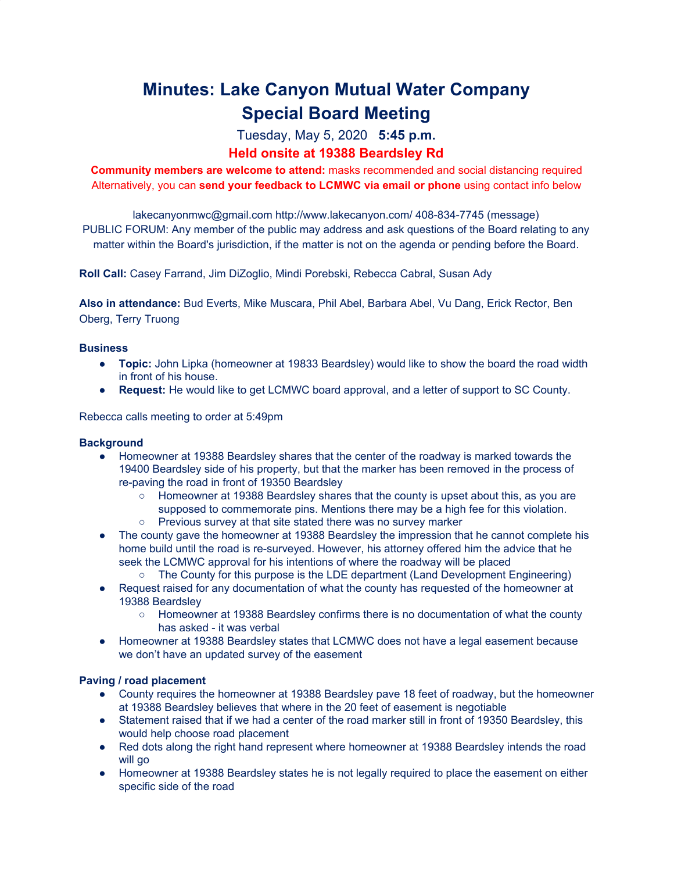# **Minutes: Lake Canyon Mutual Water Company Special Board Meeting**

# Tuesday, May 5, 2020 **5:45 p.m.**

## **Held onsite at 19388 Beardsley Rd**

**Community members are welcome to attend:** masks recommended and social distancing required Alternatively, you can **send your feedback to LCMWC via email or phone** using contact info below

lakecanyonmwc@gmail.com http://www.lakecanyon.com/ 408-834-7745 (message) PUBLIC FORUM: Any member of the public may address and ask questions of the Board relating to any matter within the Board's jurisdiction, if the matter is not on the agenda or pending before the Board.

**Roll Call:** Casey Farrand, Jim DiZoglio, Mindi Porebski, Rebecca Cabral, Susan Ady

**Also in attendance:** Bud Everts, Mike Muscara, Phil Abel, Barbara Abel, Vu Dang, Erick Rector, Ben Oberg, Terry Truong

### **Business**

- **Topic:** John Lipka (homeowner at 19833 Beardsley) would like to show the board the road width in front of his house.
- **Request:** He would like to get LCMWC board approval, and a letter of support to SC County.

Rebecca calls meeting to order at 5:49pm

#### **Background**

- Homeowner at 19388 Beardsley shares that the center of the roadway is marked towards the 19400 Beardsley side of his property, but that the marker has been removed in the process of re-paving the road in front of 19350 Beardsley
	- Homeowner at 19388 Beardsley shares that the county is upset about this, as you are supposed to commemorate pins. Mentions there may be a high fee for this violation.
	- Previous survey at that site stated there was no survey marker
- The county gave the homeowner at 19388 Beardsley the impression that he cannot complete his home build until the road is re-surveyed. However, his attorney offered him the advice that he seek the LCMWC approval for his intentions of where the roadway will be placed
	- The County for this purpose is the LDE department (Land Development Engineering)
- Request raised for any documentation of what the county has requested of the homeowner at 19388 Beardsley
	- Homeowner at 19388 Beardsley confirms there is no documentation of what the county has asked - it was verbal
- Homeowner at 19388 Beardsley states that LCMWC does not have a legal easement because we don't have an updated survey of the easement

#### **Paving / road placement**

- County requires the homeowner at 19388 Beardsley pave 18 feet of roadway, but the homeowner at 19388 Beardsley believes that where in the 20 feet of easement is negotiable
- Statement raised that if we had a center of the road marker still in front of 19350 Beardsley, this would help choose road placement
- Red dots along the right hand represent where homeowner at 19388 Beardsley intends the road will go
- Homeowner at 19388 Beardsley states he is not legally required to place the easement on either specific side of the road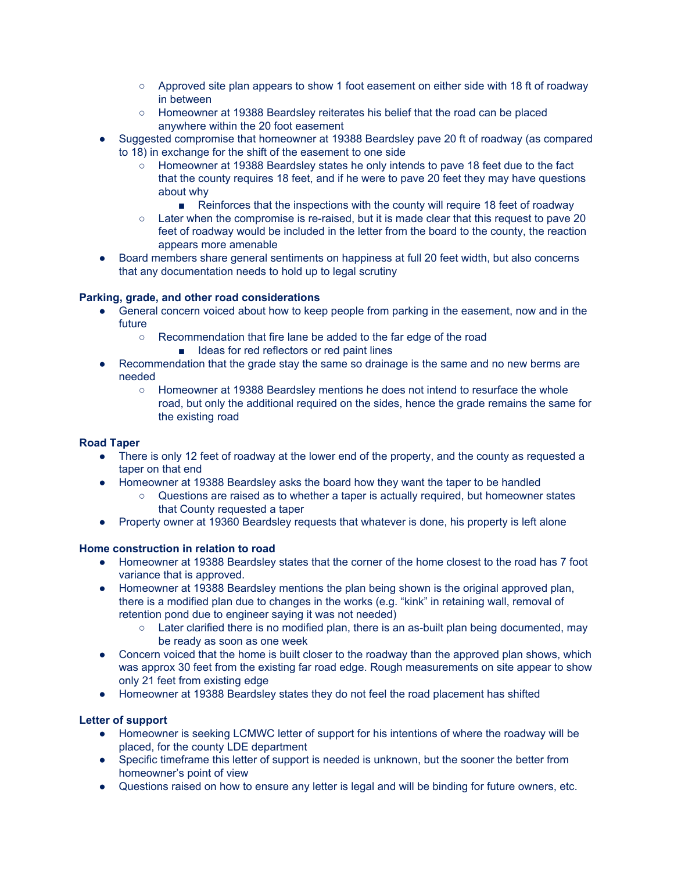- Approved site plan appears to show 1 foot easement on either side with 18 ft of roadway in between
- Homeowner at 19388 Beardsley reiterates his belief that the road can be placed anywhere within the 20 foot easement
- Suggested compromise that homeowner at 19388 Beardsley pave 20 ft of roadway (as compared to 18) in exchange for the shift of the easement to one side
	- Homeowner at 19388 Beardsley states he only intends to paye 18 feet due to the fact that the county requires 18 feet, and if he were to pave 20 feet they may have questions about why
		- Reinforces that the inspections with the county will require 18 feet of roadway
	- Later when the compromise is re-raised, but it is made clear that this request to pave 20 feet of roadway would be included in the letter from the board to the county, the reaction appears more amenable
- Board members share general sentiments on happiness at full 20 feet width, but also concerns that any documentation needs to hold up to legal scrutiny

### **Parking, grade, and other road considerations**

- General concern voiced about how to keep people from parking in the easement, now and in the future
	- Recommendation that fire lane be added to the far edge of the road
		- Ideas for red reflectors or red paint lines
- Recommendation that the grade stay the same so drainage is the same and no new berms are needed
	- Homeowner at 19388 Beardsley mentions he does not intend to resurface the whole road, but only the additional required on the sides, hence the grade remains the same for the existing road

### **Road Taper**

- There is only 12 feet of roadway at the lower end of the property, and the county as requested a taper on that end
- Homeowner at 19388 Beardsley asks the board how they want the taper to be handled
	- Questions are raised as to whether a taper is actually required, but homeowner states that County requested a taper
- Property owner at 19360 Beardsley requests that whatever is done, his property is left alone

### **Home construction in relation to road**

- Homeowner at 19388 Beardsley states that the corner of the home closest to the road has 7 foot variance that is approved.
- Homeowner at 19388 Beardsley mentions the plan being shown is the original approved plan, there is a modified plan due to changes in the works (e.g. "kink" in retaining wall, removal of retention pond due to engineer saying it was not needed)
	- Later clarified there is no modified plan, there is an as-built plan being documented, may be ready as soon as one week
- Concern voiced that the home is built closer to the roadway than the approved plan shows, which was approx 30 feet from the existing far road edge. Rough measurements on site appear to show only 21 feet from existing edge
- Homeowner at 19388 Beardsley states they do not feel the road placement has shifted

### **Letter of support**

- Homeowner is seeking LCMWC letter of support for his intentions of where the roadway will be placed, for the county LDE department
- Specific timeframe this letter of support is needed is unknown, but the sooner the better from homeowner's point of view
- Questions raised on how to ensure any letter is legal and will be binding for future owners, etc.